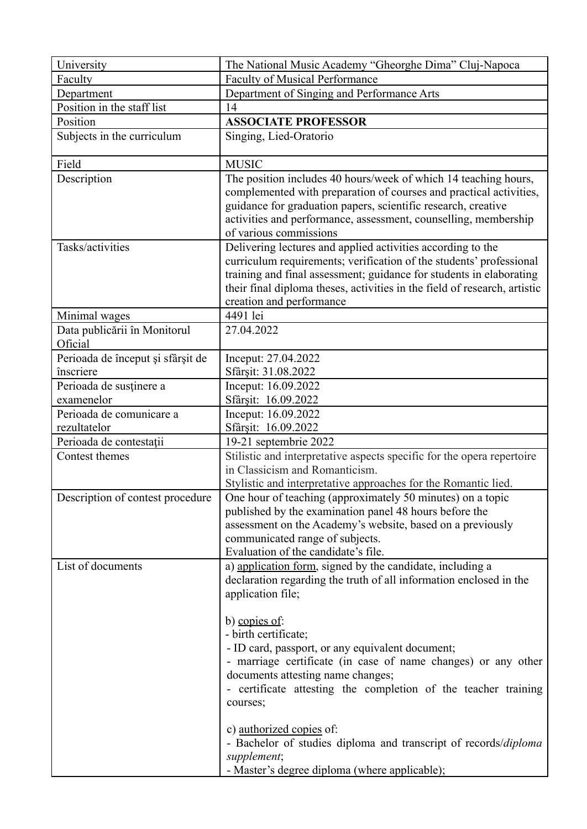| University                              | The National Music Academy "Gheorghe Dima" Cluj-Napoca                                                                                                                                                                                                                                                             |
|-----------------------------------------|--------------------------------------------------------------------------------------------------------------------------------------------------------------------------------------------------------------------------------------------------------------------------------------------------------------------|
| Faculty                                 | <b>Faculty of Musical Performance</b>                                                                                                                                                                                                                                                                              |
| Department                              | Department of Singing and Performance Arts                                                                                                                                                                                                                                                                         |
| Position in the staff list              | 14                                                                                                                                                                                                                                                                                                                 |
| Position                                | <b>ASSOCIATE PROFESSOR</b>                                                                                                                                                                                                                                                                                         |
| Subjects in the curriculum              | Singing, Lied-Oratorio                                                                                                                                                                                                                                                                                             |
| Field                                   | <b>MUSIC</b>                                                                                                                                                                                                                                                                                                       |
| Description                             | The position includes 40 hours/week of which 14 teaching hours,<br>complemented with preparation of courses and practical activities,<br>guidance for graduation papers, scientific research, creative<br>activities and performance, assessment, counselling, membership<br>of various commissions                |
| Tasks/activities                        | Delivering lectures and applied activities according to the<br>curriculum requirements; verification of the students' professional<br>training and final assessment; guidance for students in elaborating<br>their final diploma theses, activities in the field of research, artistic<br>creation and performance |
| Minimal wages                           | 4491 lei                                                                                                                                                                                                                                                                                                           |
| Data publicării în Monitorul<br>Oficial | 27.04.2022                                                                                                                                                                                                                                                                                                         |
| Perioada de început și sfârșit de       | Inceput: 27.04.2022                                                                                                                                                                                                                                                                                                |
| înscriere                               | Sfârșit: 31.08.2022                                                                                                                                                                                                                                                                                                |
| Perioada de susținere a                 | Inceput: 16.09.2022                                                                                                                                                                                                                                                                                                |
| examenelor                              | Sfârșit: 16.09.2022                                                                                                                                                                                                                                                                                                |
| Perioada de comunicare a                | Inceput: 16.09.2022                                                                                                                                                                                                                                                                                                |
| rezultatelor                            | Sfârșit: 16.09.2022                                                                                                                                                                                                                                                                                                |
| Perioada de contestații                 | 19-21 septembrie 2022                                                                                                                                                                                                                                                                                              |
| Contest themes                          | Stilistic and interpretative aspects specific for the opera repertoire<br>in Classicism and Romanticism.<br>Stylistic and interpretative approaches for the Romantic lied.                                                                                                                                         |
| Description of contest procedure        | One hour of teaching (approximately 50 minutes) on a topic<br>published by the examination panel 48 hours before the<br>assessment on the Academy's website, based on a previously<br>communicated range of subjects.<br>Evaluation of the candidate's file.                                                       |
| List of documents                       | a) application form, signed by the candidate, including a<br>declaration regarding the truth of all information enclosed in the<br>application file;                                                                                                                                                               |
|                                         | b) copies of:<br>- birth certificate;<br>- ID card, passport, or any equivalent document;<br>- marriage certificate (in case of name changes) or any other<br>documents attesting name changes;<br>- certificate attesting the completion of the teacher training<br>courses;                                      |
|                                         | c) <u>authorized copies</u> of:<br>- Bachelor of studies diploma and transcript of records/diploma<br>supplement;<br>- Master's degree diploma (where applicable);                                                                                                                                                 |